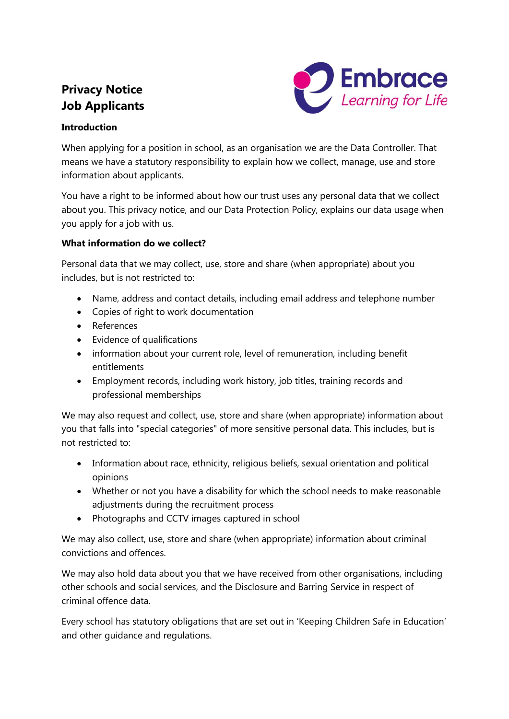# **Privacy Notice Job Applicants**



# **Introduction**

When applying for a position in school, as an organisation we are the Data Controller. That means we have a statutory responsibility to explain how we collect, manage, use and store information about applicants.

You have a right to be informed about how our trust uses any personal data that we collect about you. This privacy notice, and our Data Protection Policy, explains our data usage when you apply for a job with us.

# **What information do we collect?**

Personal data that we may collect, use, store and share (when appropriate) about you includes, but is not restricted to:

- Name, address and contact details, including email address and telephone number
- Copies of right to work documentation
- References
- Evidence of qualifications
- information about your current role, level of remuneration, including benefit entitlements
- Employment records, including work history, job titles, training records and professional memberships

We may also request and collect, use, store and share (when appropriate) information about you that falls into "special categories" of more sensitive personal data. This includes, but is not restricted to:

- Information about race, ethnicity, religious beliefs, sexual orientation and political opinions
- Whether or not you have a disability for which the school needs to make reasonable adjustments during the recruitment process
- Photographs and CCTV images captured in school

We may also collect, use, store and share (when appropriate) information about criminal convictions and offences.

We may also hold data about you that we have received from other organisations, including other schools and social services, and the Disclosure and Barring Service in respect of criminal offence data.

Every school has statutory obligations that are set out in 'Keeping Children Safe in Education' and other guidance and regulations.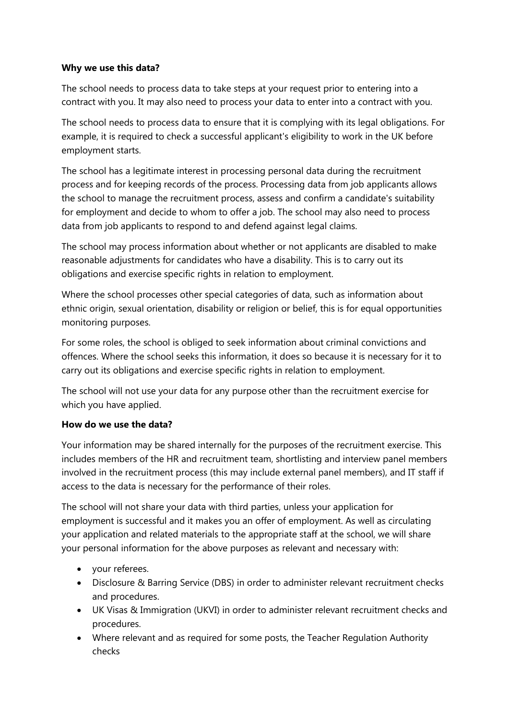## **Why we use this data?**

The school needs to process data to take steps at your request prior to entering into a contract with you. It may also need to process your data to enter into a contract with you.

The school needs to process data to ensure that it is complying with its legal obligations. For example, it is required to check a successful applicant's eligibility to work in the UK before employment starts.

The school has a legitimate interest in processing personal data during the recruitment process and for keeping records of the process. Processing data from job applicants allows the school to manage the recruitment process, assess and confirm a candidate's suitability for employment and decide to whom to offer a job. The school may also need to process data from job applicants to respond to and defend against legal claims.

The school may process information about whether or not applicants are disabled to make reasonable adjustments for candidates who have a disability. This is to carry out its obligations and exercise specific rights in relation to employment.

Where the school processes other special categories of data, such as information about ethnic origin, sexual orientation, disability or religion or belief, this is for equal opportunities monitoring purposes.

For some roles, the school is obliged to seek information about criminal convictions and offences. Where the school seeks this information, it does so because it is necessary for it to carry out its obligations and exercise specific rights in relation to employment.

The school will not use your data for any purpose other than the recruitment exercise for which you have applied.

## **How do we use the data?**

Your information may be shared internally for the purposes of the recruitment exercise. This includes members of the HR and recruitment team, shortlisting and interview panel members involved in the recruitment process (this may include external panel members), and IT staff if access to the data is necessary for the performance of their roles.

The school will not share your data with third parties, unless your application for employment is successful and it makes you an offer of employment. As well as circulating your application and related materials to the appropriate staff at the school, we will share your personal information for the above purposes as relevant and necessary with:

- your referees.
- Disclosure & Barring Service (DBS) in order to administer relevant recruitment checks and procedures.
- UK Visas & Immigration (UKVI) in order to administer relevant recruitment checks and procedures.
- Where relevant and as required for some posts, the Teacher Regulation Authority checks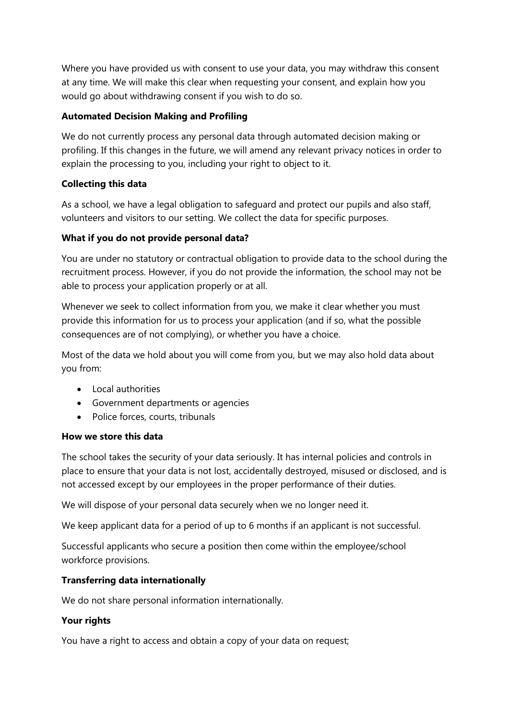Where you have provided us with consent to use your data, you may withdraw this consent at any time. We will make this clear when requesting your consent, and explain how you would go about withdrawing consent if you wish to do so.

## **Automated Decision Making and Profiling**

We do not currently process any personal data through automated decision making or profiling. If this changes in the future, we will amend any relevant privacy notices in order to explain the processing to you, including your right to object to it.

# **Collecting this data**

As a school, we have a legal obligation to safeguard and protect our pupils and also staff, volunteers and visitors to our setting. We collect the data for specific purposes.

# **What if you do not provide personal data?**

You are under no statutory or contractual obligation to provide data to the school during the recruitment process. However, if you do not provide the information, the school may not be able to process your application properly or at all.

Whenever we seek to collect information from you, we make it clear whether you must provide this information for us to process your application (and if so, what the possible consequences are of not complying), or whether you have a choice.

Most of the data we hold about you will come from you, but we may also hold data about you from:

- Local authorities
- Government departments or agencies
- Police forces, courts, tribunals

## **How we store this data**

The school takes the security of your data seriously. It has internal policies and controls in place to ensure that your data is not lost, accidentally destroyed, misused or disclosed, and is not accessed except by our employees in the proper performance of their duties.

We will dispose of your personal data securely when we no longer need it.

We keep applicant data for a period of up to 6 months if an applicant is not successful.

Successful applicants who secure a position then come within the employee/school workforce provisions.

## **Transferring data internationally**

We do not share personal information internationally.

## **Your rights**

You have a right to access and obtain a copy of your data on request;